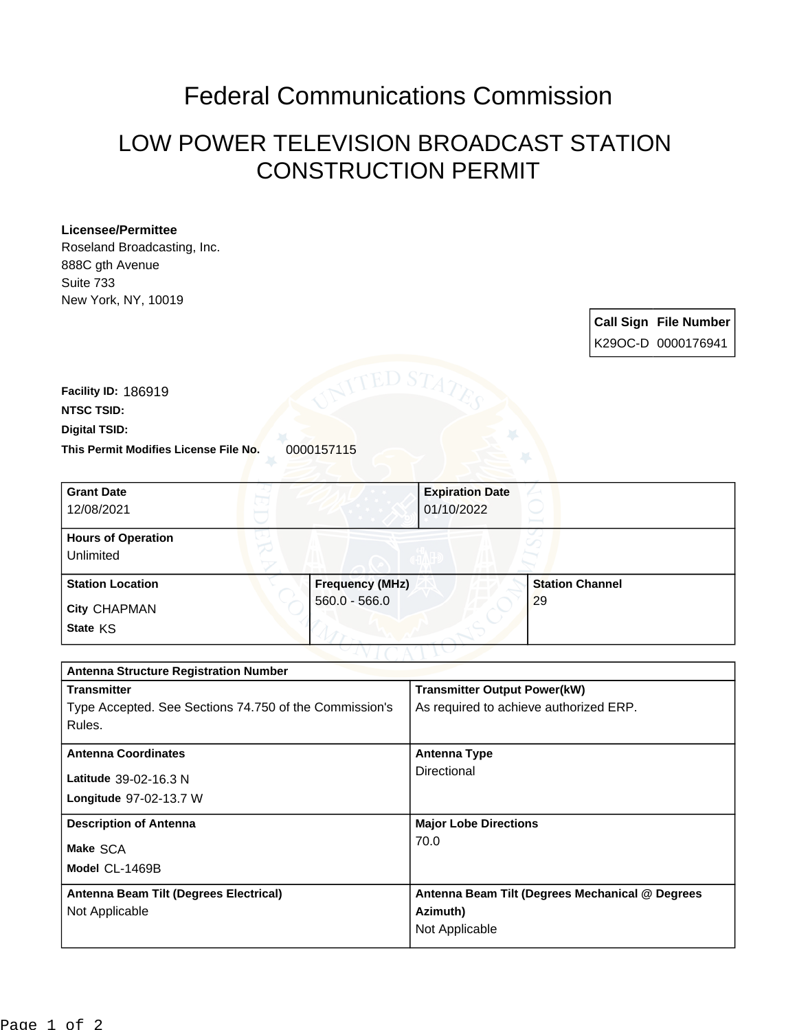## Federal Communications Commission

## LOW POWER TELEVISION BROADCAST STATION CONSTRUCTION PERMIT

## **Licensee/Permittee**

Roseland Broadcasting, Inc. 888C gth Avenue Suite 733 New York, NY, 10019

> **Call Sign File Number** K29OC-D 0000176941

This Permit Modifies License File No. 0000157115 **Digital TSID: NTSC TSID: Facility ID:** 186919

| <b>Grant Date</b><br>12/08/2021        |                        | <b>Expiration Date</b><br>01/10/2022 |                        |
|----------------------------------------|------------------------|--------------------------------------|------------------------|
| <b>Hours of Operation</b><br>Unlimited |                        |                                      |                        |
| <b>Station Location</b>                | <b>Frequency (MHz)</b> |                                      | <b>Station Channel</b> |
| <b>City CHAPMAN</b>                    | $560.0 - 566.0$        |                                      | 29                     |
| State KS                               |                        |                                      |                        |

| <b>Antenna Structure Registration Number</b>           |                                                 |  |  |
|--------------------------------------------------------|-------------------------------------------------|--|--|
| <b>Transmitter</b>                                     | <b>Transmitter Output Power(kW)</b>             |  |  |
| Type Accepted. See Sections 74.750 of the Commission's | As required to achieve authorized ERP.          |  |  |
| Rules.                                                 |                                                 |  |  |
| <b>Antenna Coordinates</b>                             | <b>Antenna Type</b>                             |  |  |
| Latitude 39-02-16.3 N                                  | Directional                                     |  |  |
| Longitude 97-02-13.7 W                                 |                                                 |  |  |
|                                                        |                                                 |  |  |
| <b>Description of Antenna</b>                          | <b>Major Lobe Directions</b>                    |  |  |
| Make SCA                                               | 70.0                                            |  |  |
| Model CL-1469B                                         |                                                 |  |  |
|                                                        |                                                 |  |  |
| Antenna Beam Tilt (Degrees Electrical)                 | Antenna Beam Tilt (Degrees Mechanical @ Degrees |  |  |
| Not Applicable                                         | Azimuth)                                        |  |  |
|                                                        | Not Applicable                                  |  |  |
|                                                        |                                                 |  |  |